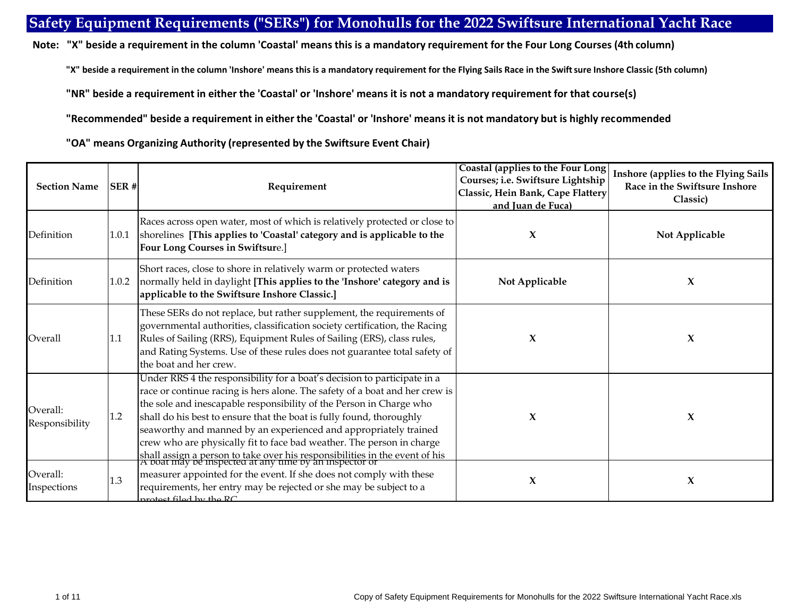## **Safety Equipment Requirements ("SERs") for Monohulls for the 2022 Swiftsure International Yacht Race**

 **Note: "X" beside a requirement in the column 'Coastal' means this is a mandatory requirement for the Four Long Courses (4th column)** 

"X" beside a requirement in the column 'Inshore' means this is a mandatory requirement for the Flying Sails Race in the Swift sure Inshore Classic (5th column)

**"NR" beside a requirement in either the 'Coastal' or 'Inshore' means it is not a mandatory requirement for that course(s)**

**"Recommended" beside a requirement in either the 'Coastal' or 'Inshore' means it is not mandatory but is highly recommended**

**"OA" means Organizing Authority (represented by the Swiftsure Event Chair)**

| <b>Section Name</b>        | SER#      | Requirement                                                                                                                                                                                                                                                                                                                                                                                                                                                                                                                                                                               | Coastal (applies to the Four Long)<br>Courses; i.e. Swiftsure Lightship<br>Classic, Hein Bank, Cape Flattery<br>and Juan de Fuca) | Inshore (applies to the Flying Sails<br>Race in the Swiftsure Inshore<br>Classic) |
|----------------------------|-----------|-------------------------------------------------------------------------------------------------------------------------------------------------------------------------------------------------------------------------------------------------------------------------------------------------------------------------------------------------------------------------------------------------------------------------------------------------------------------------------------------------------------------------------------------------------------------------------------------|-----------------------------------------------------------------------------------------------------------------------------------|-----------------------------------------------------------------------------------|
| Definition                 | $1.0.1\,$ | Races across open water, most of which is relatively protected or close to<br>shorelines [This applies to 'Coastal' category and is applicable to the<br>Four Long Courses in Swiftsure.]                                                                                                                                                                                                                                                                                                                                                                                                 | X                                                                                                                                 | Not Applicable                                                                    |
| Definition                 | 1.0.2     | Short races, close to shore in relatively warm or protected waters<br>normally held in daylight [This applies to the 'Inshore' category and is<br>applicable to the Swiftsure Inshore Classic.]                                                                                                                                                                                                                                                                                                                                                                                           | Not Applicable                                                                                                                    | X                                                                                 |
| Overall                    | 1.1       | These SERs do not replace, but rather supplement, the requirements of<br>governmental authorities, classification society certification, the Racing<br>Rules of Sailing (RRS), Equipment Rules of Sailing (ERS), class rules,<br>and Rating Systems. Use of these rules does not guarantee total safety of<br>the boat and her crew.                                                                                                                                                                                                                                                      | X                                                                                                                                 | X                                                                                 |
| Overall:<br>Responsibility | 1.2       | Under RRS 4 the responsibility for a boat's decision to participate in a<br>race or continue racing is hers alone. The safety of a boat and her crew is<br>the sole and inescapable responsibility of the Person in Charge who<br>shall do his best to ensure that the boat is fully found, thoroughly<br>seaworthy and manned by an experienced and appropriately trained<br>crew who are physically fit to face bad weather. The person in charge<br>shall assign a person to take over his responsibilities in the event of his A boat may be inspected at any time by an inspector or | X                                                                                                                                 | X                                                                                 |
| Overall:<br>Inspections    | 1.3       | measurer appointed for the event. If she does not comply with these<br>requirements, her entry may be rejected or she may be subject to a<br>protost filed by the RC                                                                                                                                                                                                                                                                                                                                                                                                                      | X                                                                                                                                 | $\boldsymbol{\chi}$                                                               |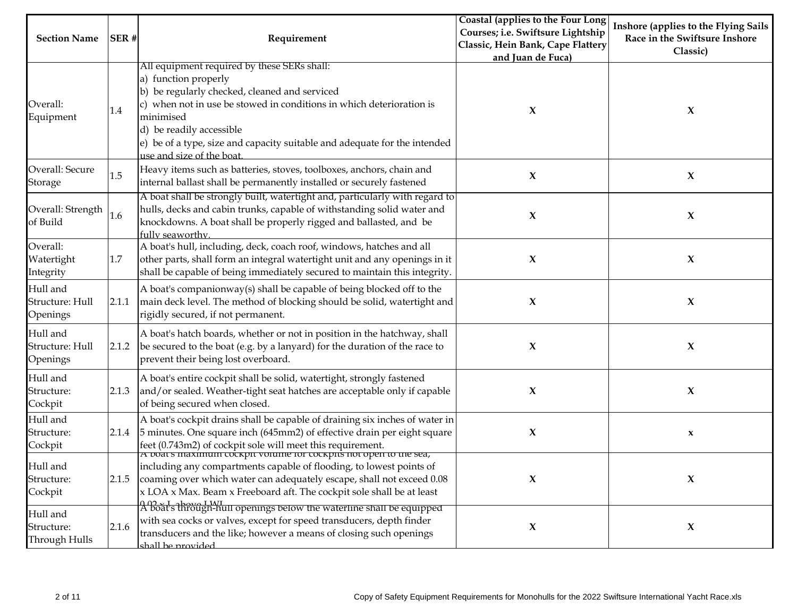|                                         |       |                                                                                                                                                                                                                                                                                                                    | Coastal (applies to the Four Long | Inshore (applies to the Flying Sails |
|-----------------------------------------|-------|--------------------------------------------------------------------------------------------------------------------------------------------------------------------------------------------------------------------------------------------------------------------------------------------------------------------|-----------------------------------|--------------------------------------|
| <b>Section Name</b>                     | SER#  | Requirement                                                                                                                                                                                                                                                                                                        | Courses; i.e. Swiftsure Lightship | Race in the Swiftsure Inshore        |
|                                         |       |                                                                                                                                                                                                                                                                                                                    | Classic, Hein Bank, Cape Flattery | Classic)                             |
|                                         |       |                                                                                                                                                                                                                                                                                                                    | and Juan de Fuca)                 |                                      |
| Overall:<br>Equipment                   | 1.4   | All equipment required by these SERs shall:<br>a) function properly<br>b) be regularly checked, cleaned and serviced<br>c) when not in use be stowed in conditions in which deterioration is<br>minimised<br>d) be readily accessible<br>e) be of a type, size and capacity suitable and adequate for the intended | X                                 | X                                    |
| Overall: Secure<br>Storage              | 1.5   | use and size of the boat.<br>Heavy items such as batteries, stoves, toolboxes, anchors, chain and<br>internal ballast shall be permanently installed or securely fastened                                                                                                                                          | X                                 | $\boldsymbol{\chi}$                  |
| Overall: Strength<br>of Build           | 1.6   | A boat shall be strongly built, watertight and, particularly with regard to<br>hulls, decks and cabin trunks, capable of withstanding solid water and<br>knockdowns. A boat shall be properly rigged and ballasted, and be<br>fully seaworthy                                                                      | $\boldsymbol{\chi}$               | $\boldsymbol{\chi}$                  |
| Overall:<br>Watertight<br>Integrity     | 1.7   | A boat's hull, including, deck, coach roof, windows, hatches and all<br>other parts, shall form an integral watertight unit and any openings in it<br>shall be capable of being immediately secured to maintain this integrity.                                                                                    | X                                 | $\mathbf x$                          |
| Hull and<br>Structure: Hull<br>Openings | 2.1.1 | A boat's companionway(s) shall be capable of being blocked off to the<br>main deck level. The method of blocking should be solid, watertight and<br>rigidly secured, if not permanent.                                                                                                                             | X                                 | $\mathbf x$                          |
| Hull and<br>Structure: Hull<br>Openings | 2.1.2 | A boat's hatch boards, whether or not in position in the hatchway, shall<br>be secured to the boat (e.g. by a lanyard) for the duration of the race to<br>prevent their being lost overboard.                                                                                                                      | $\boldsymbol{\chi}$               | $\mathbf x$                          |
| Hull and<br>Structure:<br>Cockpit       | 2.1.3 | A boat's entire cockpit shall be solid, watertight, strongly fastened<br>and/or sealed. Weather-tight seat hatches are acceptable only if capable<br>of being secured when closed.                                                                                                                                 | $\mathbf x$                       | $\mathbf x$                          |
| Hull and<br>Structure:<br>Cockpit       | 2.1.4 | A boat's cockpit drains shall be capable of draining six inches of water in<br>5 minutes. One square inch (645mm2) of effective drain per eight square<br>feet (0.743m2) of cockpit sole will meet this requirement.<br><u>A voat s maximum cockpit voiume for cockpits not open to the sea,</u>                   | $\boldsymbol{\chi}$               | $\mathbf x$                          |
| Hull and<br>Structure:<br>Cockpit       | 2.1.5 | including any compartments capable of flooding, to lowest points of<br>coaming over which water can adequately escape, shall not exceed 0.08<br>x LOA x Max. Beam x Freeboard aft. The cockpit sole shall be at least                                                                                              | $\boldsymbol{\chi}$               | $\mathbf x$                          |
| Hull and<br>Structure:<br>Through Hulls | 2.1.6 | ABoat's through-hull openings below the waterline shall be equipped<br>with sea cocks or valves, except for speed transducers, depth finder<br>transducers and the like; however a means of closing such openings<br><u>shall be provided</u>                                                                      | $\boldsymbol{\chi}$               | $\boldsymbol{\mathrm{X}}$            |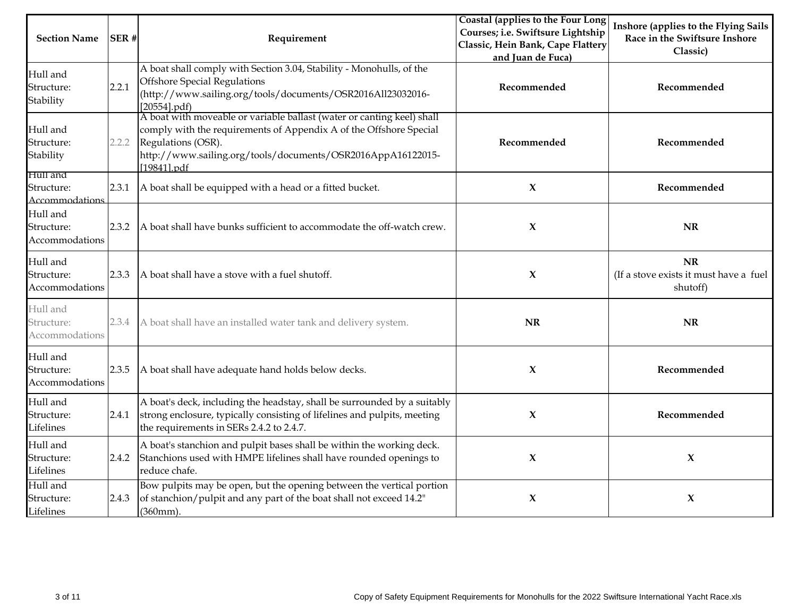| <b>Section Name</b>                      | SER#  | Requirement                                                                                                                                                                                                                                      | Coastal (applies to the Four Long<br>Courses; i.e. Swiftsure Lightship<br>Classic, Hein Bank, Cape Flattery<br>and Juan de Fuca) | Inshore (applies to the Flying Sails<br>Race in the Swiftsure Inshore<br>Classic) |
|------------------------------------------|-------|--------------------------------------------------------------------------------------------------------------------------------------------------------------------------------------------------------------------------------------------------|----------------------------------------------------------------------------------------------------------------------------------|-----------------------------------------------------------------------------------|
| Hull and<br>Structure:<br>Stability      | 2.2.1 | A boat shall comply with Section 3.04, Stability - Monohulls, of the<br><b>Offshore Special Regulations</b><br>(http://www.sailing.org/tools/documents/OSR2016All23032016-<br>[20554].pdf)                                                       | Recommended                                                                                                                      | Recommended                                                                       |
| Hull and<br>Structure:<br>Stability      | 2.2.2 | A boat with moveable or variable ballast (water or canting keel) shall<br>comply with the requirements of Appendix A of the Offshore Special<br>Regulations (OSR).<br>http://www.sailing.org/tools/documents/OSR2016AppA16122015-<br>[19841].pdf | Recommended                                                                                                                      | Recommended                                                                       |
| Hull and<br>Structure:<br>Accommodations | 2.3.1 | A boat shall be equipped with a head or a fitted bucket.                                                                                                                                                                                         | $\boldsymbol{\chi}$                                                                                                              | Recommended                                                                       |
| Hull and<br>Structure:<br>Accommodations | 2.3.2 | A boat shall have bunks sufficient to accommodate the off-watch crew.                                                                                                                                                                            | X                                                                                                                                | <b>NR</b>                                                                         |
| Hull and<br>Structure:<br>Accommodations | 2.3.3 | A boat shall have a stove with a fuel shutoff.                                                                                                                                                                                                   | X                                                                                                                                | <b>NR</b><br>(If a stove exists it must have a fuel<br>shutoff)                   |
| Hull and<br>Structure:<br>Accommodations | 2.3.4 | A boat shall have an installed water tank and delivery system.                                                                                                                                                                                   | <b>NR</b>                                                                                                                        | <b>NR</b>                                                                         |
| Hull and<br>Structure:<br>Accommodations | 2.3.5 | A boat shall have adequate hand holds below decks.                                                                                                                                                                                               | $\boldsymbol{\chi}$                                                                                                              | Recommended                                                                       |
| Hull and<br>Structure:<br>Lifelines      | 2.4.1 | A boat's deck, including the headstay, shall be surrounded by a suitably<br>strong enclosure, typically consisting of lifelines and pulpits, meeting<br>the requirements in SERs 2.4.2 to 2.4.7.                                                 | X                                                                                                                                | Recommended                                                                       |
| Hull and<br>Structure:<br>Lifelines      | 2.4.2 | A boat's stanchion and pulpit bases shall be within the working deck.<br>Stanchions used with HMPE lifelines shall have rounded openings to<br>reduce chafe.                                                                                     | X                                                                                                                                | $\boldsymbol{\chi}$                                                               |
| Hull and<br>Structure:<br>Lifelines      | 2.4.3 | Bow pulpits may be open, but the opening between the vertical portion<br>of stanchion/pulpit and any part of the boat shall not exceed 14.2"<br>(360mm)                                                                                          | X                                                                                                                                | $\mathbf x$                                                                       |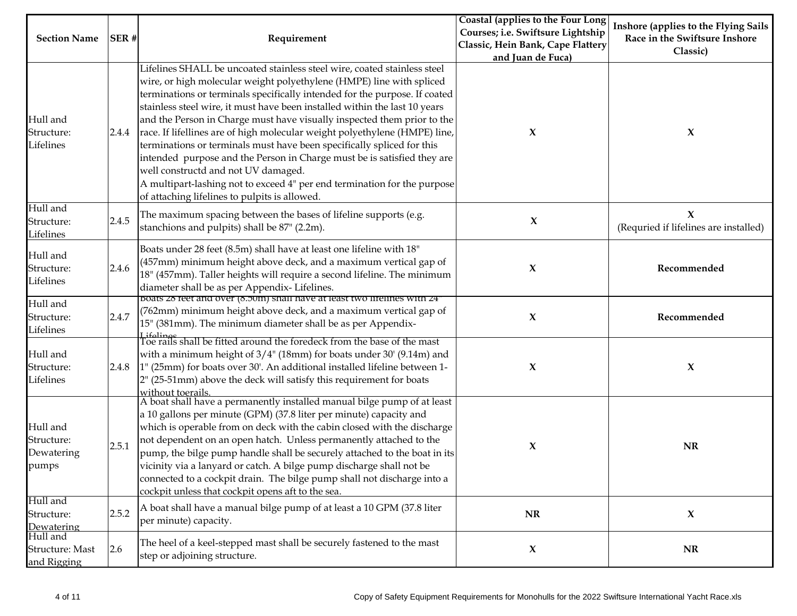|                                               |       |                                                                                                                                                                                                                                                                                                                                                                                                                                                                                                                                                                                                                                                                                                                                                                                                | Coastal (applies to the Four Long | Inshore (applies to the Flying Sails                 |
|-----------------------------------------------|-------|------------------------------------------------------------------------------------------------------------------------------------------------------------------------------------------------------------------------------------------------------------------------------------------------------------------------------------------------------------------------------------------------------------------------------------------------------------------------------------------------------------------------------------------------------------------------------------------------------------------------------------------------------------------------------------------------------------------------------------------------------------------------------------------------|-----------------------------------|------------------------------------------------------|
|                                               |       |                                                                                                                                                                                                                                                                                                                                                                                                                                                                                                                                                                                                                                                                                                                                                                                                | Courses; i.e. Swiftsure Lightship |                                                      |
| <b>Section Name</b>                           | SER#  | Requirement                                                                                                                                                                                                                                                                                                                                                                                                                                                                                                                                                                                                                                                                                                                                                                                    | Classic, Hein Bank, Cape Flattery | Race in the Swiftsure Inshore                        |
|                                               |       |                                                                                                                                                                                                                                                                                                                                                                                                                                                                                                                                                                                                                                                                                                                                                                                                | and Juan de Fuca)                 | Classic)                                             |
| Hull and<br>Structure:<br>Lifelines           | 2.4.4 | Lifelines SHALL be uncoated stainless steel wire, coated stainless steel<br>wire, or high molecular weight polyethylene (HMPE) line with spliced<br>terminations or terminals specifically intended for the purpose. If coated<br>stainless steel wire, it must have been installed within the last 10 years<br>and the Person in Charge must have visually inspected them prior to the<br>race. If lifellines are of high molecular weight polyethylene (HMPE) line,<br>terminations or terminals must have been specifically spliced for this<br>intended purpose and the Person in Charge must be is satisfied they are<br>well constructd and not UV damaged.<br>A multipart-lashing not to exceed 4" per end termination for the purpose<br>of attaching lifelines to pulpits is allowed. | X                                 | $\boldsymbol{\chi}$                                  |
| Hull and<br>Structure:<br>Lifelines           | 2.4.5 | The maximum spacing between the bases of lifeline supports (e.g.<br>stanchions and pulpits) shall be 87" (2.2m).                                                                                                                                                                                                                                                                                                                                                                                                                                                                                                                                                                                                                                                                               | $\boldsymbol{\chi}$               | $\mathbf X$<br>(Requried if lifelines are installed) |
| Hull and<br>Structure:<br>Lifelines           | 2.4.6 | Boats under 28 feet (8.5m) shall have at least one lifeline with 18"<br>(457mm) minimum height above deck, and a maximum vertical gap of<br>18" (457mm). Taller heights will require a second lifeline. The minimum<br>diameter shall be as per Appendix-Lifelines.                                                                                                                                                                                                                                                                                                                                                                                                                                                                                                                            | X                                 | Recommended                                          |
| Hull and<br>Structure:<br>Lifelines           | 2.4.7 | boats 28 feet and over (8.50m) shall have at least two lifelines with 24<br>(762mm) minimum height above deck, and a maximum vertical gap of<br>15" (381mm). The minimum diameter shall be as per Appendix-<br>Lifelings<br>Toe rails shall be fitted around the foredeck from the base of the mast                                                                                                                                                                                                                                                                                                                                                                                                                                                                                            | X                                 | Recommended                                          |
| Hull and<br>Structure:<br>Lifelines           | 2.4.8 | with a minimum height of $3/4$ " (18mm) for boats under 30' (9.14m) and<br>[1" (25mm) for boats over 30'. An additional installed lifeline between 1-<br>2" (25-51mm) above the deck will satisfy this requirement for boats<br>without toerails.                                                                                                                                                                                                                                                                                                                                                                                                                                                                                                                                              | X                                 | X                                                    |
| Hull and<br>Structure:<br>Dewatering<br>pumps | 2.5.1 | A boat shall have a permanently installed manual bilge pump of at least<br>a 10 gallons per minute (GPM) (37.8 liter per minute) capacity and<br>which is operable from on deck with the cabin closed with the discharge<br>not dependent on an open hatch. Unless permanently attached to the<br>pump, the bilge pump handle shall be securely attached to the boat in its<br>vicinity via a lanyard or catch. A bilge pump discharge shall not be<br>connected to a cockpit drain. The bilge pump shall not discharge into a<br>cockpit unless that cockpit opens aft to the sea.                                                                                                                                                                                                            | X                                 | NR                                                   |
| Hull and<br>Structure:<br>Dewatering          | 2.5.2 | A boat shall have a manual bilge pump of at least a 10 GPM (37.8 liter<br>per minute) capacity.                                                                                                                                                                                                                                                                                                                                                                                                                                                                                                                                                                                                                                                                                                | $\bf NR$                          | $\boldsymbol{\chi}$                                  |
| Hull and<br>Structure: Mast<br>and Rigging    | 2.6   | The heel of a keel-stepped mast shall be securely fastened to the mast<br>step or adjoining structure.                                                                                                                                                                                                                                                                                                                                                                                                                                                                                                                                                                                                                                                                                         | X                                 | NR                                                   |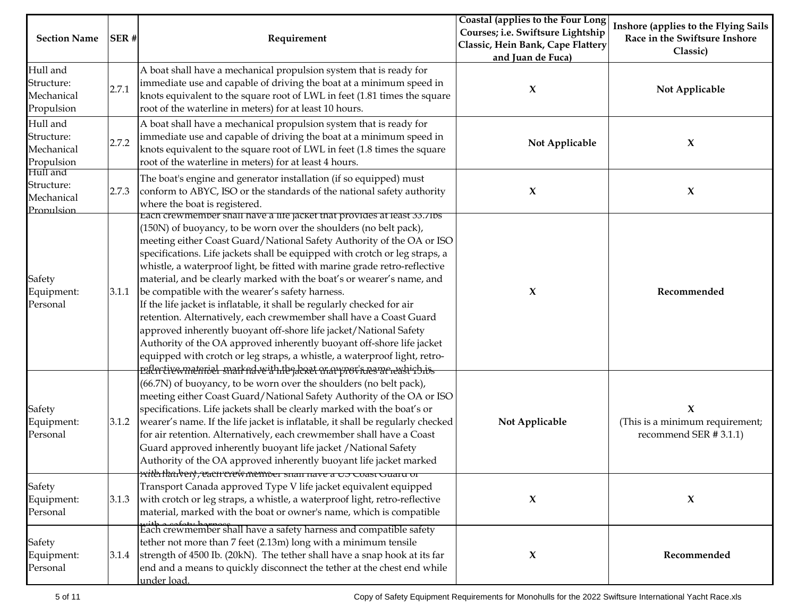| <b>Section Name</b>                                | SER#  | Requirement                                                                                                                                                                                                                                                                                                                                                                                                                                                                                                                                                                                                                                                                                                                                                                                                                                                                                                                                                        | Coastal (applies to the Four Long<br>Courses; i.e. Swiftsure Lightship<br>Classic, Hein Bank, Cape Flattery<br>and Juan de Fuca) | Inshore (applies to the Flying Sails<br>Race in the Swiftsure Inshore<br>Classic) |
|----------------------------------------------------|-------|--------------------------------------------------------------------------------------------------------------------------------------------------------------------------------------------------------------------------------------------------------------------------------------------------------------------------------------------------------------------------------------------------------------------------------------------------------------------------------------------------------------------------------------------------------------------------------------------------------------------------------------------------------------------------------------------------------------------------------------------------------------------------------------------------------------------------------------------------------------------------------------------------------------------------------------------------------------------|----------------------------------------------------------------------------------------------------------------------------------|-----------------------------------------------------------------------------------|
| Hull and<br>Structure:<br>Mechanical<br>Propulsion | 2.7.1 | A boat shall have a mechanical propulsion system that is ready for<br>immediate use and capable of driving the boat at a minimum speed in<br>knots equivalent to the square root of LWL in feet (1.81 times the square<br>root of the waterline in meters) for at least 10 hours.                                                                                                                                                                                                                                                                                                                                                                                                                                                                                                                                                                                                                                                                                  | X                                                                                                                                | Not Applicable                                                                    |
| Hull and<br>Structure:<br>Mechanical<br>Propulsion | 2.7.2 | A boat shall have a mechanical propulsion system that is ready for<br>immediate use and capable of driving the boat at a minimum speed in<br>knots equivalent to the square root of LWL in feet (1.8 times the square<br>root of the waterline in meters) for at least 4 hours.                                                                                                                                                                                                                                                                                                                                                                                                                                                                                                                                                                                                                                                                                    | Not Applicable                                                                                                                   | $\boldsymbol{\chi}$                                                               |
| Hull and<br>Structure:<br>Mechanical<br>Propulsion | 2.7.3 | The boat's engine and generator installation (if so equipped) must<br>conform to ABYC, ISO or the standards of the national safety authority<br>where the boat is registered.                                                                                                                                                                                                                                                                                                                                                                                                                                                                                                                                                                                                                                                                                                                                                                                      | X                                                                                                                                | $\boldsymbol{\chi}$                                                               |
| Safety<br>Equipment:<br>Personal                   | 3.1.1 | Each crewmember shall have a life jacket that provides at least 33.71bs<br>(150N) of buoyancy, to be worn over the shoulders (no belt pack),<br>meeting either Coast Guard/National Safety Authority of the OA or ISO<br>specifications. Life jackets shall be equipped with crotch or leg straps, a<br>whistle, a waterproof light, be fitted with marine grade retro-reflective<br>material, and be clearly marked with the boat's or wearer's name, and<br>be compatible with the wearer's safety harness.<br>If the life jacket is inflatable, it shall be regularly checked for air<br>retention. Alternatively, each crewmember shall have a Coast Guard<br>approved inherently buoyant off-shore life jacket/National Safety<br>Authority of the OA approved inherently buoyant off-shore life jacket<br>equipped with crotch or leg straps, a whistle, a waterproof light, retro-<br>reflertivewmeterial snarked with the denet er avyrer heave reashirbis | X                                                                                                                                | Recommended                                                                       |
| Safety<br>Equipment:<br>Personal                   | 3.1.2 | (66.7N) of buoyancy, to be worn over the shoulders (no belt pack),<br>meeting either Coast Guard/National Safety Authority of the OA or ISO<br>specifications. Life jackets shall be clearly marked with the boat's or<br>wearer's name. If the life jacket is inflatable, it shall be regularly checked<br>for air retention. Alternatively, each crewmember shall have a Coast<br>Guard approved inherently buoyant life jacket / National Safety<br>Authority of the OA approved inherently buoyant life jacket marked<br><del>xith tharbery, each crew memoer shan have a 05 Coast Guaru or</del>                                                                                                                                                                                                                                                                                                                                                              | Not Applicable                                                                                                                   | $\mathbf x$<br>(This is a minimum requirement;<br>recommend SER #3.1.1)           |
| Safety<br>Equipment:<br>Personal                   | 3.1.3 | Transport Canada approved Type V life jacket equivalent equipped<br>with crotch or leg straps, a whistle, a waterproof light, retro-reflective<br>material, marked with the boat or owner's name, which is compatible                                                                                                                                                                                                                                                                                                                                                                                                                                                                                                                                                                                                                                                                                                                                              | X                                                                                                                                | $\boldsymbol{\chi}$                                                               |
| Safety<br>Equipment:<br>Personal                   | 3.1.4 | this a safety hamosfiall have a safety harness and compatible safety<br>tether not more than 7 feet (2.13m) long with a minimum tensile<br>strength of 4500 Ib. (20kN). The tether shall have a snap hook at its far<br>end and a means to quickly disconnect the tether at the chest end while<br>under load.                                                                                                                                                                                                                                                                                                                                                                                                                                                                                                                                                                                                                                                     | X                                                                                                                                | Recommended                                                                       |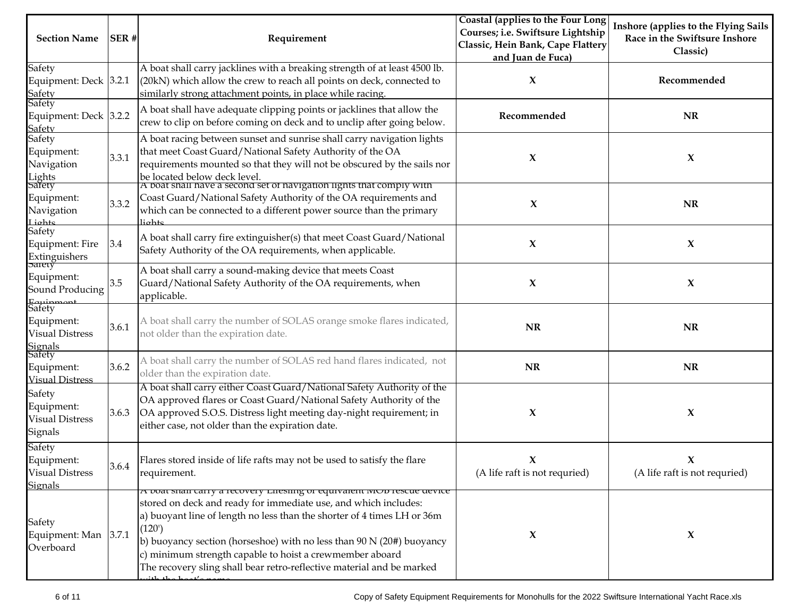|                                      |       |                                                                                 | Coastal (applies to the Four Long | Inshore (applies to the Flying Sails |
|--------------------------------------|-------|---------------------------------------------------------------------------------|-----------------------------------|--------------------------------------|
| <b>Section Name</b>                  | SER#  |                                                                                 | Courses; i.e. Swiftsure Lightship | Race in the Swiftsure Inshore        |
|                                      |       | Requirement                                                                     | Classic, Hein Bank, Cape Flattery |                                      |
|                                      |       |                                                                                 | and Juan de Fuca)                 | Classic)                             |
| Safety                               |       | A boat shall carry jacklines with a breaking strength of at least 4500 lb.      |                                   |                                      |
| Equipment: Deck $3.2.1$              |       | (20kN) which allow the crew to reach all points on deck, connected to           | $\boldsymbol{\chi}$               | Recommended                          |
| <b>Safety</b>                        |       | similarly strong attachment points, in place while racing.                      |                                   |                                      |
| Safety                               |       |                                                                                 |                                   |                                      |
| Equipment: Deck 3.2.2                |       | A boat shall have adequate clipping points or jacklines that allow the          | Recommended                       | <b>NR</b>                            |
| <b>Safety</b>                        |       | crew to clip on before coming on deck and to unclip after going below.          |                                   |                                      |
| Safety                               |       | A boat racing between sunset and sunrise shall carry navigation lights          |                                   |                                      |
| Equipment:                           |       | that meet Coast Guard/National Safety Authority of the OA                       |                                   |                                      |
| Navigation                           | 3.3.1 | requirements mounted so that they will not be obscured by the sails nor         | X                                 | X                                    |
|                                      |       | be located below deck level.                                                    |                                   |                                      |
| Lights<br>Safety                     |       | A boat shall have a second set of navigation lights that comply with            |                                   |                                      |
| Equipment:                           |       | Coast Guard/National Safety Authority of the OA requirements and                |                                   |                                      |
| Navigation                           | 3.3.2 | which can be connected to a different power source than the primary             | $\boldsymbol{\chi}$               | <b>NR</b>                            |
| Lighte                               |       | liohte                                                                          |                                   |                                      |
| Safety                               |       |                                                                                 |                                   |                                      |
| Equipment: Fire                      | 3.4   | A boat shall carry fire extinguisher(s) that meet Coast Guard/National          | $\mathbf x$                       | $\boldsymbol{\chi}$                  |
| Extinguishers<br>Sarety              |       | Safety Authority of the OA requirements, when applicable.                       |                                   |                                      |
|                                      |       | A boat shall carry a sound-making device that meets Coast                       |                                   |                                      |
| Equipment:                           | 3.5   | Guard/National Safety Authority of the OA requirements, when                    | X                                 | $\boldsymbol{\chi}$                  |
| Sound Producing                      |       |                                                                                 |                                   |                                      |
| Equipmont<br>Safety                  |       | applicable.                                                                     |                                   |                                      |
|                                      |       |                                                                                 |                                   |                                      |
| Equipment:                           | 3.6.1 | A boat shall carry the number of SOLAS orange smoke flares indicated,           | NR                                | <b>NR</b>                            |
| <b>Visual Distress</b>               |       | not older than the expiration date.                                             |                                   |                                      |
| Signals<br>Safety                    |       |                                                                                 |                                   |                                      |
|                                      | 3.6.2 | A boat shall carry the number of SOLAS red hand flares indicated, not           | <b>NR</b>                         | <b>NR</b>                            |
| Equipment:<br><b>Visual Distress</b> |       | older than the expiration date.                                                 |                                   |                                      |
|                                      |       | A boat shall carry either Coast Guard/National Safety Authority of the          |                                   |                                      |
| Safety                               |       | OA approved flares or Coast Guard/National Safety Authority of the              |                                   |                                      |
| Equipment:                           | 3.6.3 | OA approved S.O.S. Distress light meeting day-night requirement; in             | X                                 | $\boldsymbol{\chi}$                  |
| <b>Visual Distress</b>               |       | either case, not older than the expiration date.                                |                                   |                                      |
| Signals                              |       |                                                                                 |                                   |                                      |
| Safety                               |       |                                                                                 |                                   |                                      |
| Equipment:                           |       | Flares stored inside of life rafts may not be used to satisfy the flare         | X                                 | X                                    |
| <b>Visual Distress</b>               | 3.6.4 | requirement.                                                                    | (A life raft is not requried)     | (A life raft is not requried)        |
| <b>Signals</b>                       |       |                                                                                 |                                   |                                      |
|                                      |       | A voat snan carry a recovery Lifesning or equivalent iviou rescue device        |                                   |                                      |
|                                      |       | stored on deck and ready for immediate use, and which includes:                 |                                   |                                      |
|                                      |       | a) buoyant line of length no less than the shorter of 4 times LH or 36m         |                                   |                                      |
| Safety                               |       | (120)                                                                           |                                   |                                      |
| Equipment: Man $ 3.7.1 $             |       | b) buoyancy section (horseshoe) with no less than $90 \text{ N}$ (20#) buoyancy | X                                 | $\boldsymbol{\chi}$                  |
| Overboard                            |       | c) minimum strength capable to hoist a crewmember aboard                        |                                   |                                      |
|                                      |       | The recovery sling shall bear retro-reflective material and be marked           |                                   |                                      |
|                                      |       | صححص والمممط معلطان                                                             |                                   |                                      |
|                                      |       |                                                                                 |                                   |                                      |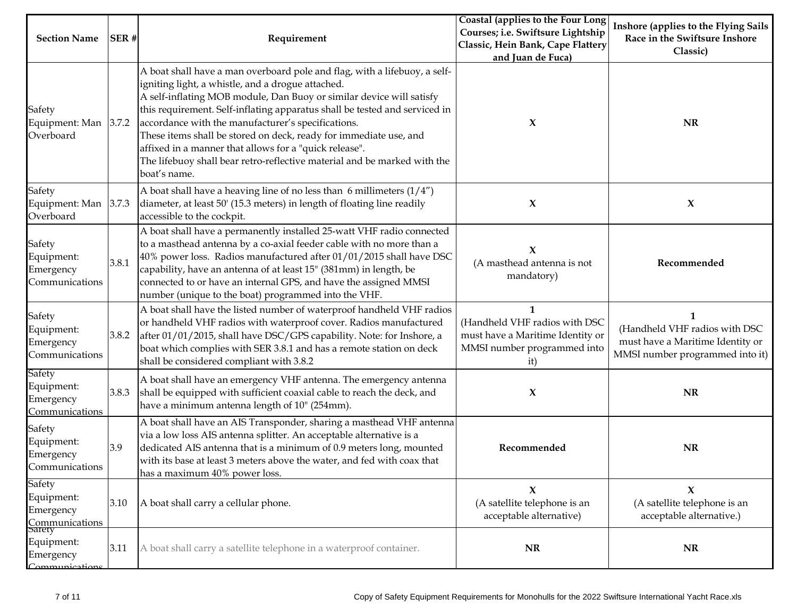| <b>Section Name</b>                                           | SER#  | Requirement                                                                                                                                                                                                                                                                                                                                                                                                                                                                                                                                                           | Coastal (applies to the Four Long<br>Courses; i.e. Swiftsure Lightship<br>Classic, Hein Bank, Cape Flattery<br>and Juan de Fuca) | Inshore (applies to the Flying Sails<br>Race in the Swiftsure Inshore<br>Classic)                         |
|---------------------------------------------------------------|-------|-----------------------------------------------------------------------------------------------------------------------------------------------------------------------------------------------------------------------------------------------------------------------------------------------------------------------------------------------------------------------------------------------------------------------------------------------------------------------------------------------------------------------------------------------------------------------|----------------------------------------------------------------------------------------------------------------------------------|-----------------------------------------------------------------------------------------------------------|
| Safety<br>Equipment: Man 3.7.2<br>Overboard                   |       | A boat shall have a man overboard pole and flag, with a lifebuoy, a self-<br>igniting light, a whistle, and a drogue attached.<br>A self-inflating MOB module, Dan Buoy or similar device will satisfy<br>this requirement. Self-inflating apparatus shall be tested and serviced in<br>accordance with the manufacturer's specifications.<br>These items shall be stored on deck, ready for immediate use, and<br>affixed in a manner that allows for a "quick release".<br>The lifebuoy shall bear retro-reflective material and be marked with the<br>boat's name. | X                                                                                                                                | <b>NR</b>                                                                                                 |
| Safety<br>Equipment: Man<br>Overboard                         | 3.7.3 | A boat shall have a heaving line of no less than 6 millimeters $(1/4'')$<br>diameter, at least 50' (15.3 meters) in length of floating line readily<br>accessible to the cockpit.                                                                                                                                                                                                                                                                                                                                                                                     | X                                                                                                                                | $\boldsymbol{\chi}$                                                                                       |
| Safety<br>Equipment:<br>Emergency<br>Communications           | 3.8.1 | A boat shall have a permanently installed 25-watt VHF radio connected<br>to a masthead antenna by a co-axial feeder cable with no more than a<br>$40\%$ power loss. Radios manufactured after $01/01/2015$ shall have DSC<br>capability, have an antenna of at least 15" (381mm) in length, be<br>connected to or have an internal GPS, and have the assigned MMSI<br>number (unique to the boat) programmed into the VHF.                                                                                                                                            | $\boldsymbol{\chi}$<br>(A masthead antenna is not<br>mandatory)                                                                  | Recommended                                                                                               |
| Safety<br>Equipment:<br>Emergency<br>Communications           | 3.8.2 | A boat shall have the listed number of waterproof handheld VHF radios<br>or handheld VHF radios with waterproof cover. Radios manufactured<br>after 01/01/2015, shall have DSC/GPS capability. Note: for Inshore, a<br>boat which complies with SER 3.8.1 and has a remote station on deck<br>shall be considered compliant with 3.8.2                                                                                                                                                                                                                                | $\mathbf{1}$<br>(Handheld VHF radios with DSC<br>must have a Maritime Identity or<br>MMSI number programmed into<br>it)          | 1<br>(Handheld VHF radios with DSC<br>must have a Maritime Identity or<br>MMSI number programmed into it) |
| Safety<br>Equipment:<br>Emergency<br>Communications           | 3.8.3 | A boat shall have an emergency VHF antenna. The emergency antenna<br>shall be equipped with sufficient coaxial cable to reach the deck, and<br>have a minimum antenna length of 10" (254mm).                                                                                                                                                                                                                                                                                                                                                                          | X                                                                                                                                | NR                                                                                                        |
| Safety<br>Equipment:<br>Emergency<br>Communications           | 3.9   | A boat shall have an AIS Transponder, sharing a masthead VHF antenna<br>via a low loss AIS antenna splitter. An acceptable alternative is a<br>dedicated AIS antenna that is a minimum of 0.9 meters long, mounted<br>with its base at least 3 meters above the water, and fed with coax that<br>has a maximum 40% power loss.                                                                                                                                                                                                                                        | Recommended                                                                                                                      | NR                                                                                                        |
| Safety<br>Equipment:<br>Emergency<br>Communications<br>Sarety | 3.10  | A boat shall carry a cellular phone.                                                                                                                                                                                                                                                                                                                                                                                                                                                                                                                                  | X<br>(A satellite telephone is an<br>acceptable alternative)                                                                     | X<br>(A satellite telephone is an<br>acceptable alternative.)                                             |
| Equipment:<br>Emergency<br>Communications                     | 3.11  | A boat shall carry a satellite telephone in a waterproof container.                                                                                                                                                                                                                                                                                                                                                                                                                                                                                                   | NR                                                                                                                               | <b>NR</b>                                                                                                 |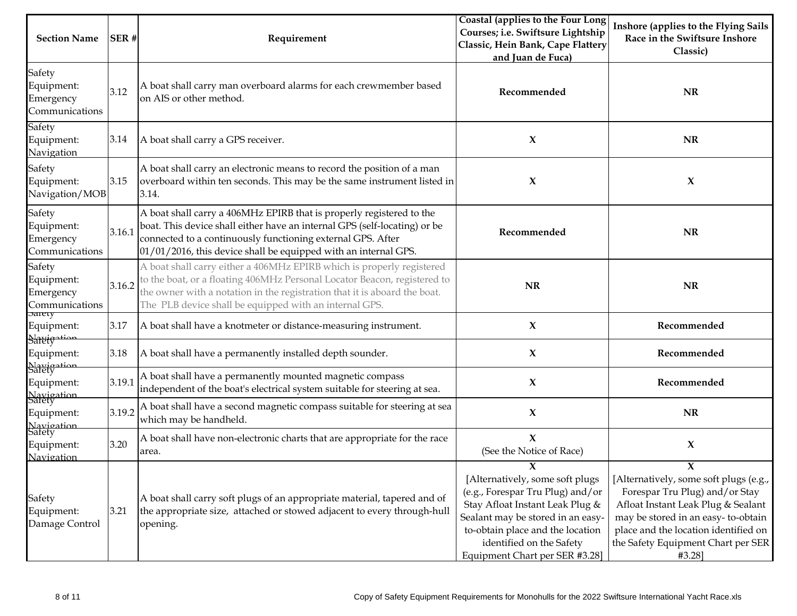| <b>Section Name</b>                                        | SER#   | Requirement                                                                                                                                                                                                                                                                              | Coastal (applies to the Four Long<br>Courses; i.e. Swiftsure Lightship<br>Classic, Hein Bank, Cape Flattery<br>and Juan de Fuca)                                                                                                                   | Inshore (applies to the Flying Sails<br>Race in the Swiftsure Inshore<br>Classic)                                                                                                                                                                 |
|------------------------------------------------------------|--------|------------------------------------------------------------------------------------------------------------------------------------------------------------------------------------------------------------------------------------------------------------------------------------------|----------------------------------------------------------------------------------------------------------------------------------------------------------------------------------------------------------------------------------------------------|---------------------------------------------------------------------------------------------------------------------------------------------------------------------------------------------------------------------------------------------------|
| Safety<br>Equipment:<br>Emergency<br>Communications        | 3.12   | A boat shall carry man overboard alarms for each crewmember based<br>on AIS or other method.                                                                                                                                                                                             | Recommended                                                                                                                                                                                                                                        | <b>NR</b>                                                                                                                                                                                                                                         |
| Safety<br>Equipment:<br>Navigation                         | 3.14   | A boat shall carry a GPS receiver.                                                                                                                                                                                                                                                       | X                                                                                                                                                                                                                                                  | <b>NR</b>                                                                                                                                                                                                                                         |
| Safety<br>Equipment:<br>Navigation/MOB                     | 3.15   | A boat shall carry an electronic means to record the position of a man<br>overboard within ten seconds. This may be the same instrument listed in<br>3.14.                                                                                                                               | X                                                                                                                                                                                                                                                  | X                                                                                                                                                                                                                                                 |
| Safety<br>Equipment:<br>Emergency<br>Communications        | 3.16.1 | A boat shall carry a 406MHz EPIRB that is properly registered to the<br>boat. This device shall either have an internal GPS (self-locating) or be<br>connected to a continuously functioning external GPS. After<br>01/01/2016, this device shall be equipped with an internal GPS.      | Recommended                                                                                                                                                                                                                                        | NR                                                                                                                                                                                                                                                |
| Safety<br>Equipment:<br>Emergency<br>Communications        | 3.16.2 | A boat shall carry either a 406MHz EPIRB which is properly registered<br>to the boat, or a floating 406MHz Personal Locator Beacon, registered to<br>the owner with a notation in the registration that it is aboard the boat.<br>The PLB device shall be equipped with an internal GPS. | <b>NR</b>                                                                                                                                                                                                                                          | <b>NR</b>                                                                                                                                                                                                                                         |
| <b>Sarety</b><br>Equipment:                                | 3.17   | A boat shall have a knotmeter or distance-measuring instrument.                                                                                                                                                                                                                          | X                                                                                                                                                                                                                                                  | Recommended                                                                                                                                                                                                                                       |
| Sareig <sup>oti</sup><br>Equipment:                        | 3.18   | A boat shall have a permanently installed depth sounder.                                                                                                                                                                                                                                 | X                                                                                                                                                                                                                                                  | Recommended                                                                                                                                                                                                                                       |
| Navigation<br>Safety<br>Equipment:<br>Navigation<br>Safety | 3.19.1 | A boat shall have a permanently mounted magnetic compass<br>independent of the boat's electrical system suitable for steering at sea.                                                                                                                                                    | $\boldsymbol{\chi}$                                                                                                                                                                                                                                | Recommended                                                                                                                                                                                                                                       |
| Equipment:                                                 | 3.19.2 | A boat shall have a second magnetic compass suitable for steering at sea<br>which may be handheld.                                                                                                                                                                                       | X                                                                                                                                                                                                                                                  | <b>NR</b>                                                                                                                                                                                                                                         |
| Navigation<br>Safety<br>Equipment:<br>Navigation           | 3.20   | A boat shall have non-electronic charts that are appropriate for the race<br>area.                                                                                                                                                                                                       | $\boldsymbol{\chi}$<br>(See the Notice of Race)                                                                                                                                                                                                    | X                                                                                                                                                                                                                                                 |
| Safety<br>Equipment:<br>Damage Control                     | 3.21   | A boat shall carry soft plugs of an appropriate material, tapered and of<br>the appropriate size, attached or stowed adjacent to every through-hull<br>opening.                                                                                                                          | X<br>[Alternatively, some soft plugs<br>(e.g., Forespar Tru Plug) and/or<br>Stay Afloat Instant Leak Plug &<br>Sealant may be stored in an easy-<br>to-obtain place and the location<br>identified on the Safety<br>Equipment Chart per SER #3.28] | Y<br>[Alternatively, some soft plugs (e.g.,<br>Forespar Tru Plug) and/or Stay<br>Afloat Instant Leak Plug & Sealant<br>may be stored in an easy-to-obtain<br>place and the location identified on<br>the Safety Equipment Chart per SER<br>#3.28] |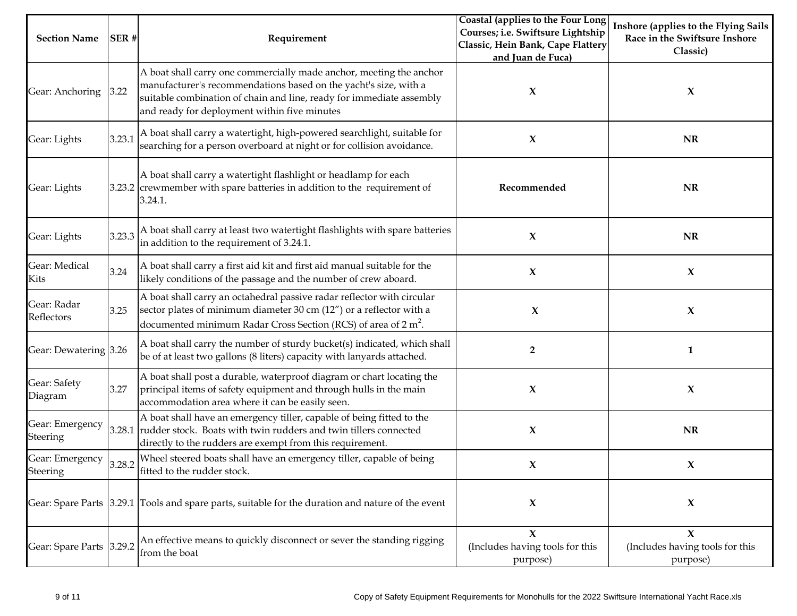| <b>Section Name</b>                | SER#   | Requirement                                                                                                                                                                                                                                                     | Coastal (applies to the Four Long<br>Courses; i.e. Swiftsure Lightship<br>Classic, Hein Bank, Cape Flattery<br>and Juan de Fuca) | Inshore (applies to the Flying Sails<br>Race in the Swiftsure Inshore<br>Classic) |
|------------------------------------|--------|-----------------------------------------------------------------------------------------------------------------------------------------------------------------------------------------------------------------------------------------------------------------|----------------------------------------------------------------------------------------------------------------------------------|-----------------------------------------------------------------------------------|
| Gear: Anchoring                    | 3.22   | A boat shall carry one commercially made anchor, meeting the anchor<br>manufacturer's recommendations based on the yacht's size, with a<br>suitable combination of chain and line, ready for immediate assembly<br>and ready for deployment within five minutes | X                                                                                                                                | X                                                                                 |
| Gear: Lights                       | 3.23.1 | A boat shall carry a watertight, high-powered searchlight, suitable for<br>searching for a person overboard at night or for collision avoidance.                                                                                                                | X                                                                                                                                | <b>NR</b>                                                                         |
| Gear: Lights                       |        | A boat shall carry a watertight flashlight or headlamp for each<br>3.23.2 crewmember with spare batteries in addition to the requirement of<br>3.24.1.                                                                                                          | Recommended                                                                                                                      | <b>NR</b>                                                                         |
| Gear: Lights                       |        | 3.23.3 A boat shall carry at least two watertight flashlights with spare batteries<br>in addition to the requirement of 3.24.1.                                                                                                                                 | X                                                                                                                                | <b>NR</b>                                                                         |
| Gear: Medical<br>Kits              | 3.24   | A boat shall carry a first aid kit and first aid manual suitable for the<br>likely conditions of the passage and the number of crew aboard.                                                                                                                     | X                                                                                                                                | X                                                                                 |
| Gear: Radar<br>Reflectors          | 3.25   | A boat shall carry an octahedral passive radar reflector with circular<br>sector plates of minimum diameter 30 cm (12") or a reflector with a<br>documented minimum Radar Cross Section (RCS) of area of $2 m2$ .                                               | X                                                                                                                                | $\boldsymbol{\chi}$                                                               |
| Gear: Dewatering 3.26              |        | A boat shall carry the number of sturdy bucket(s) indicated, which shall<br>be of at least two gallons (8 liters) capacity with lanyards attached.                                                                                                              | $\overline{2}$                                                                                                                   | $\mathbf{1}$                                                                      |
| Gear: Safety<br>Diagram            | 3.27   | A boat shall post a durable, waterproof diagram or chart locating the<br>principal items of safety equipment and through hulls in the main<br>accommodation area where it can be easily seen.                                                                   | X                                                                                                                                | $\boldsymbol{\chi}$                                                               |
| Gear: Emergency<br><b>Steering</b> |        | A boat shall have an emergency tiller, capable of being fitted to the<br>3.28.1 rudder stock. Boats with twin rudders and twin tillers connected<br>directly to the rudders are exempt from this requirement.                                                   | $\boldsymbol{\chi}$                                                                                                              | $\bf NR$                                                                          |
| Gear: Emergency<br>Steering        | 3.28.2 | Wheel steered boats shall have an emergency tiller, capable of being<br>fitted to the rudder stock.                                                                                                                                                             | X                                                                                                                                | X                                                                                 |
|                                    |        | Gear: Spare Parts 3.29.1 Tools and spare parts, suitable for the duration and nature of the event                                                                                                                                                               | $\mathbf x$                                                                                                                      | $\boldsymbol{\chi}$                                                               |
| Gear: Spare Parts 3.29.2           |        | An effective means to quickly disconnect or sever the standing rigging<br>from the boat                                                                                                                                                                         | $\mathbf x$<br>(Includes having tools for this<br>purpose)                                                                       | $\mathbf x$<br>(Includes having tools for this<br>purpose)                        |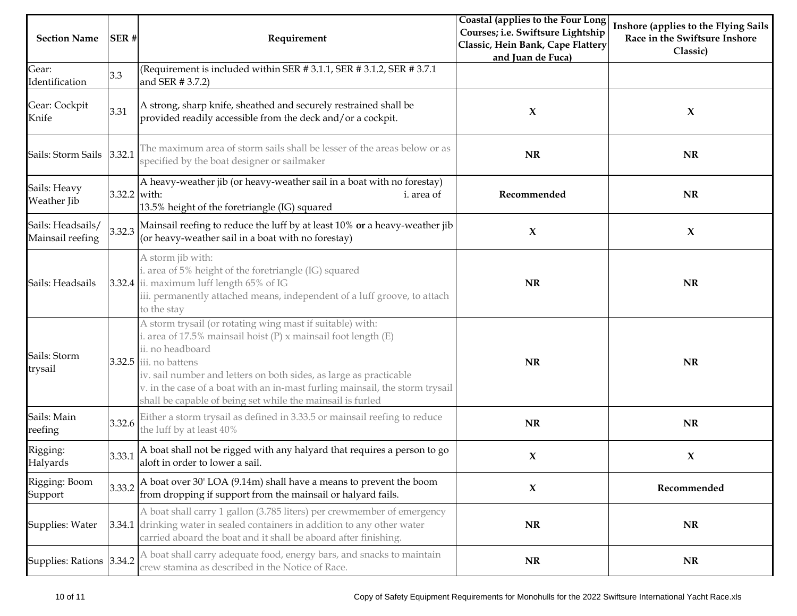| <b>Section Name</b>                   | SER#         | Requirement                                                                                                                                                                                                                                                                                                                                                                                         | Coastal (applies to the Four Long<br>Courses; i.e. Swiftsure Lightship<br>Classic, Hein Bank, Cape Flattery<br>and Juan de Fuca) | Inshore (applies to the Flying Sails<br>Race in the Swiftsure Inshore<br>Classic) |
|---------------------------------------|--------------|-----------------------------------------------------------------------------------------------------------------------------------------------------------------------------------------------------------------------------------------------------------------------------------------------------------------------------------------------------------------------------------------------------|----------------------------------------------------------------------------------------------------------------------------------|-----------------------------------------------------------------------------------|
| Gear:<br>Identification               | 3.3          | (Requirement is included within SER #3.1.1, SER #3.1.2, SER #3.7.1<br>and SER # 3.7.2)                                                                                                                                                                                                                                                                                                              |                                                                                                                                  |                                                                                   |
| Gear: Cockpit<br>Knife                | 3.31         | A strong, sharp knife, sheathed and securely restrained shall be<br>provided readily accessible from the deck and/or a cockpit.                                                                                                                                                                                                                                                                     | X                                                                                                                                | $\boldsymbol{\chi}$                                                               |
| Sails: Storm Sails                    | 3.32.1       | The maximum area of storm sails shall be lesser of the areas below or as<br>specified by the boat designer or sailmaker                                                                                                                                                                                                                                                                             | <b>NR</b>                                                                                                                        | <b>NR</b>                                                                         |
| Sails: Heavy<br>Weather Jib           | 3.32.2 with: | A heavy-weather jib (or heavy-weather sail in a boat with no forestay)<br>i. area of<br>13.5% height of the foretriangle (IG) squared                                                                                                                                                                                                                                                               | Recommended                                                                                                                      | <b>NR</b>                                                                         |
| Sails: Headsails/<br>Mainsail reefing | 3.32.3       | Mainsail reefing to reduce the luff by at least 10% or a heavy-weather jib<br>(or heavy-weather sail in a boat with no forestay)                                                                                                                                                                                                                                                                    | X                                                                                                                                | $\boldsymbol{\chi}$                                                               |
| Sails: Headsails                      |              | A storm jib with:<br>i. area of 5% height of the foretriangle (IG) squared<br>3.32.4 ii. maximum luff length 65% of IG<br>iii. permanently attached means, independent of a luff groove, to attach<br>to the stay                                                                                                                                                                                   | <b>NR</b>                                                                                                                        | NR                                                                                |
| Sails: Storm<br>trysail               |              | A storm trysail (or rotating wing mast if suitable) with:<br>i. area of 17.5% mainsail hoist $(P)$ x mainsail foot length $(E)$<br>ii. no headboard<br>$3.32.5$ iii. no battens<br>iv. sail number and letters on both sides, as large as practicable<br>v. in the case of a boat with an in-mast furling mainsail, the storm trysail<br>shall be capable of being set while the mainsail is furled | <b>NR</b>                                                                                                                        | <b>NR</b>                                                                         |
| Sails: Main<br>reefing                | 3.32.6       | Either a storm trysail as defined in 3.33.5 or mainsail reefing to reduce<br>the luff by at least 40%                                                                                                                                                                                                                                                                                               | <b>NR</b>                                                                                                                        | NR                                                                                |
| Rigging:<br>Halyards                  | 3.33.1       | A boat shall not be rigged with any halyard that requires a person to go<br>aloft in order to lower a sail.                                                                                                                                                                                                                                                                                         | X                                                                                                                                | $\boldsymbol{\chi}$                                                               |
| Rigging: Boom<br>Support              | 3.33.2       | A boat over 30' LOA (9.14m) shall have a means to prevent the boom<br>from dropping if support from the mainsail or halyard fails.                                                                                                                                                                                                                                                                  | X                                                                                                                                | Recommended                                                                       |
| Supplies: Water                       |              | A boat shall carry 1 gallon (3.785 liters) per crewmember of emergency<br>3.34.1 drinking water in sealed containers in addition to any other water<br>carried aboard the boat and it shall be aboard after finishing.                                                                                                                                                                              | <b>NR</b>                                                                                                                        | <b>NR</b>                                                                         |
| Supplies: Rations 3.34.2              |              | A boat shall carry adequate food, energy bars, and snacks to maintain<br>crew stamina as described in the Notice of Race.                                                                                                                                                                                                                                                                           | <b>NR</b>                                                                                                                        | <b>NR</b>                                                                         |